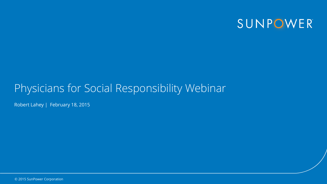

### Physicians for Social Responsibility Webinar

Robert Lahey | February 18, 2015

© 2015 SunPower Corporation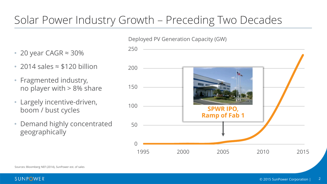## Solar Power Industry Growth – Preceding Two Decades

### Deployed PV Generation Capacity (GW)

- 20 year CAGR  $\approx$  30%
- 2014 sales ≈ \$120 billion
- Fragmented industry, no player with > 8% share
- Largely incentive-driven, boom / bust cycles
- Demand highly concentrated geographically

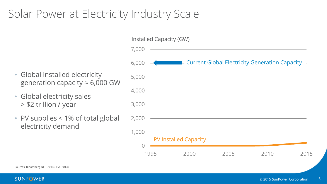### Solar Power at Electricity Industry Scale

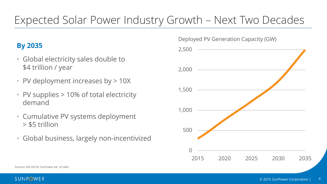## Expected Solar Power Industry Growth – Next Two Decades

### **By 2035**

- Global electricity sales double to \$4 trillion / year
- PV deployment increases by > 10X
- PV supplies > 10% of total electricity demand
- Cumulative PV systems deployment > \$5 trillion
- Global business, largely non-incentivized

Deployed PV Generation Capacity (GW)



Sources: IEA (2014), SunPower est. of sales

SUNPOWER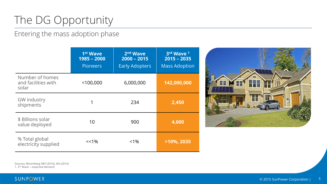# The DG Opportunity

Entering the mass adoption phase

|                                                 | 1 <sup>st</sup> Wave<br>$1985 - 2000$<br><b>Pioneers</b> | 2 <sup>nd</sup> Wave<br>$2000 - 2015$<br><b>Early Adopters</b> | 3rd Wave 1<br>$2015 - 2035$<br><b>Mass Adoption</b> |
|-------------------------------------------------|----------------------------------------------------------|----------------------------------------------------------------|-----------------------------------------------------|
| Number of homes<br>and facilities with<br>solar | $<$ 100,000                                              | 6,000,000                                                      | 142,000,000                                         |
| <b>GW</b> industry<br>shipments                 | 1                                                        | 234                                                            | 2,450                                               |
| \$ Billions solar<br>value deployed             | 10                                                       | 900                                                            | 4,600                                               |
| % Total global<br>electricity supplied          | $<< 1\%$                                                 | $< 1\%$                                                        | $>10\%$ , 2035                                      |



Sources: Bloomberg NEF (2014), IEA (2014) 1. 3rd Wave – expected demand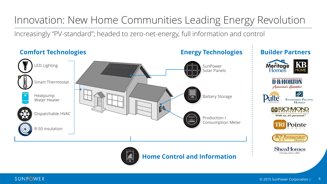### Innovation: New Home Communities Leading Energy Revolution

Increasingly "PV-standard"; headed to zero-net-energy, full information and control



#### SUNPOWER